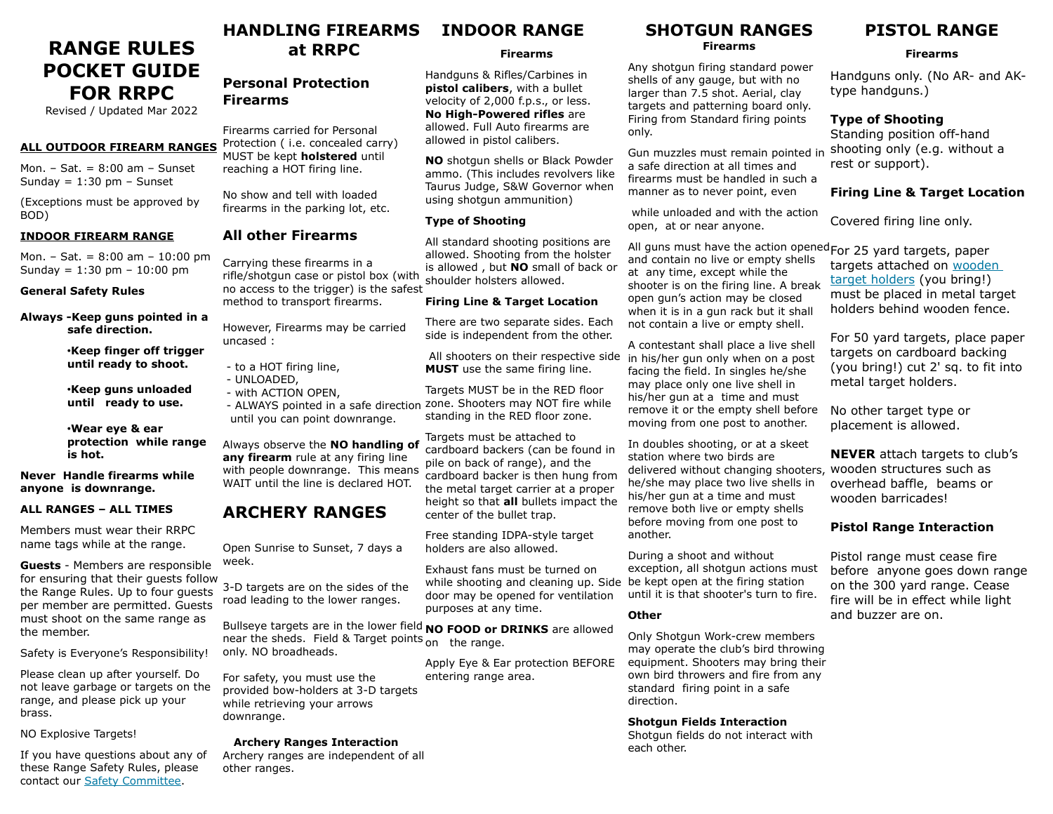# **RANGE RULES POCKET GUIDE FOR RRPC**

Revised / Updated Mar 2022

#### **ALL OUTDOOR FIREARM RANGES**

Mon. – Sat. =  $8:00$  am – Sunset Sunday =  $1:30$  pm - Sunset

(Exceptions must be approved by BOD)

#### **INDOOR FIREARM RANGE**

Mon. – Sat. = 8:00 am – 10:00 pm Sunday = 1:30 pm – 10:00 pm

#### **General Safety Rules**

**Always -Keep guns pointed in a safe direction.**

> •**Keep finger off trigger until ready to shoot.**

•**Keep guns unloaded until ready to use.**

•**Wear eye & ear protection while range is hot.**

**Never Handle firearms while anyone is downrange.** 

#### **ALL RANGES – ALL TIMES**

Members must wear their RRPC name tags while at the range.

**Guests** - Members are responsible for ensuring that their guests follow the Range Rules. Up to four guests per member are permitted. Guests must shoot on the same range as the member.

Safety is Everyone's Responsibility!

Please clean up after yourself. Do not leave garbage or targets on the range, and please pick up your brass.

NO Explosive Targets!

If you have questions about any of these Range Safety Rules, please contact our [Safety Committee](mailto:safety@rrpc.org?subject=safety%20at%20RRPC).

#### **HANDLING FIREARMS at RRPC INDOOR RANGE**

#### **Firearms**

Handguns & Rifles/Carbines in **pistol calibers**, with a bullet velocity of 2,000 f.p.s., or less. **No High-Powered rifles** are allowed. Full Auto firearms are allowed in pistol calibers.

**NO** shotgun shells or Black Powder ammo. (This includes revolvers like Taurus Judge, S&W Governor when using shotgun ammunition)

All standard shooting positions are allowed. Shooting from the holster is allowed , but **NO** small of back or shoulder holsters allowed.

#### **Firing Line & Target Location**

There are two separate sides. Each side is independent from the other.

All shooters on their respective side **MUST** use the same firing line.

Targets MUST be in the RED floor zone. Shooters may NOT fire while standing in the RED floor zone.

Targets must be attached to cardboard backers (can be found in pile on back of range), and the cardboard backer is then hung from the metal target carrier at a proper height so that **all** bullets impact the center of the bullet trap.

Free standing IDPA-style target holders are also allowed.

Exhaust fans must be turned on while shooting and cleaning up. Side be kept open at the firing station door may be opened for ventilation purposes at any time.

near the sheds. Field & Target points on the range.

Apply Eye & Ear protection BEFORE

## **SHOTGUN RANGES**

**Firearms**

Any shotgun firing standard power shells of any gauge, but with no larger than 7.5 shot. Aerial, clay targets and patterning board only. Firing from Standard firing points only.

Gun muzzles must remain pointed in a safe direction at all times and firearms must be handled in such a manner as to never point, even

 while unloaded and with the action open, at or near anyone.

All guns must have the action opened For 25 yard targets, paper and contain no live or empty shells at any time, except while the shooter is on the firing line. A break open gun's action may be closed when it is in a gun rack but it shall not contain a live or empty shell.

A contestant shall place a live shell in his/her gun only when on a post facing the field. In singles he/she may place only one live shell in his/her gun at a time and must remove it or the empty shell before moving from one post to another.

In doubles shooting, or at a skeet station where two birds are delivered without changing shooters, wooden structures such as he/she may place two live shells in his/her gun at a time and must remove both live or empty shells before moving from one post to another.

During a shoot and without exception, all shotgun actions must until it is that shooter's turn to fire.

#### **Other**

Only Shotgun Work-crew members may operate the club's bird throwing equipment. Shooters may bring their own bird throwers and fire from any standard firing point in a safe direction.

#### **Shotgun Fields Interaction**

Shotgun fields do not interact with each other.

## **PISTOL RANGE**

#### **Firearms**

Handguns only. (No AR- and AKtype handguns.)

### **Type of Shooting**

Standing position off-hand shooting only (e.g. without a rest or support).

### **Firing Line & Target Location**

Covered firing line only.

targets attached on wooden [target holders](https://rrpc2.org/resources/Documents/Activities/bullseyeframe.pdf) (you bring!) must be placed in metal target holders behind wooden fence.

For 50 yard targets, place paper targets on cardboard backing (you bring!) cut 2' sq. to fit into metal target holders.

No other target type or placement is allowed.

**NEVER** attach targets to club's overhead baffle, beams or wooden barricades!

## **Pistol Range Interaction**

Pistol range must cease fire before anyone goes down range on the 300 yard range. Cease fire will be in effect while light and buzzer are on.

## Protection ( i.e. concealed carry) MUST be kept **holstered** until reaching a HOT firing line. No show and tell with loaded firearms in the parking lot, etc. **All other Firearms Type of Shooting**

Carrying these firearms in a rifle/shotgun case or pistol box (with no access to the trigger) is the safest method to transport firearms.

However, Firearms may be carried uncased :

- to a HOT firing line,
- UNLOADED,
- with ACTION OPEN,

**Personal Protection** 

Firearms carried for Personal

**Firearms**

 - ALWAYS pointed in a safe direction until you can point downrange.

Always observe the **NO handling of any firearm** rule at any firing line with people downrange. This means WAIT until the line is declared HOT.

## **ARCHERY RANGES**

Open Sunrise to Sunset, 7 days a week.

3-D targets are on the sides of the road leading to the lower ranges.

For safety, you must use the provided bow-holders at 3-D targets while retrieving your arrows

 **Archery Ranges Interaction** Archery ranges are independent of all

downrange.

other ranges.

Bullseye targets are in the lower field **NO FOOD or DRINKS** are allowed only. NO broadheads.

entering range area.